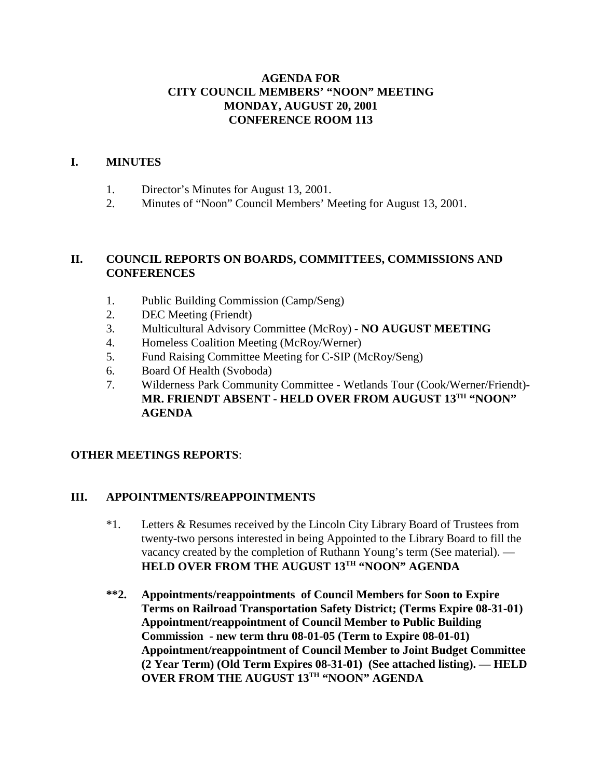### **AGENDA FOR CITY COUNCIL MEMBERS' "NOON" MEETING MONDAY, AUGUST 20, 2001 CONFERENCE ROOM 113**

### **I. MINUTES**

- 1. Director's Minutes for August 13, 2001.
- 2. Minutes of "Noon" Council Members' Meeting for August 13, 2001.

### **II. COUNCIL REPORTS ON BOARDS, COMMITTEES, COMMISSIONS AND CONFERENCES**

- 1. Public Building Commission (Camp/Seng)
- 2. DEC Meeting (Friendt)
- 3. Multicultural Advisory Committee (McRoy) **NO AUGUST MEETING**
- 4. Homeless Coalition Meeting (McRoy/Werner)
- 5. Fund Raising Committee Meeting for C-SIP (McRoy/Seng)
- 6. Board Of Health (Svoboda)
- 7. Wilderness Park Community Committee Wetlands Tour (Cook/Werner/Friendt)**- MR. FRIENDT ABSENT - HELD OVER FROM AUGUST 13TH "NOON" AGENDA**

### **OTHER MEETINGS REPORTS**:

### **III. APPOINTMENTS/REAPPOINTMENTS**

- \*1. Letters & Resumes received by the Lincoln City Library Board of Trustees from twenty-two persons interested in being Appointed to the Library Board to fill the vacancy created by the completion of Ruthann Young's term (See material). — **HELD OVER FROM THE AUGUST 13TH "NOON" AGENDA**
- **\*\*2. Appointments/reappointments of Council Members for Soon to Expire Terms on Railroad Transportation Safety District; (Terms Expire 08-31-01) Appointment/reappointment of Council Member to Public Building Commission - new term thru 08-01-05 (Term to Expire 08-01-01) Appointment/reappointment of Council Member to Joint Budget Committee (2 Year Term) (Old Term Expires 08-31-01) (See attached listing). — HELD OVER FROM THE AUGUST 13TH "NOON" AGENDA**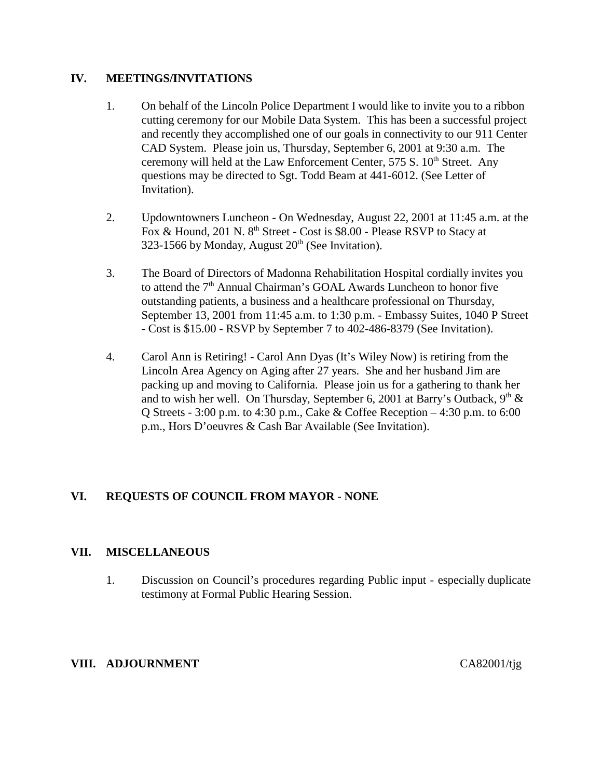### **IV. MEETINGS/INVITATIONS**

- 1. On behalf of the Lincoln Police Department I would like to invite you to a ribbon cutting ceremony for our Mobile Data System. This has been a successful project and recently they accomplished one of our goals in connectivity to our 911 Center CAD System. Please join us, Thursday, September 6, 2001 at 9:30 a.m. The ceremony will held at the Law Enforcement Center, 575 S. 10<sup>th</sup> Street. Any questions may be directed to Sgt. Todd Beam at 441-6012. (See Letter of Invitation).
- 2. Updowntowners Luncheon On Wednesday, August 22, 2001 at 11:45 a.m. at the Fox & Hound, 201 N. 8<sup>th</sup> Street - Cost is \$8.00 - Please RSVP to Stacy at 323-1566 by Monday, August  $20<sup>th</sup>$  (See Invitation).
- 3. The Board of Directors of Madonna Rehabilitation Hospital cordially invites you to attend the 7<sup>th</sup> Annual Chairman's GOAL Awards Luncheon to honor five outstanding patients, a business and a healthcare professional on Thursday, September 13, 2001 from 11:45 a.m. to 1:30 p.m. - Embassy Suites, 1040 P Street - Cost is \$15.00 - RSVP by September 7 to 402-486-8379 (See Invitation).
- 4. Carol Ann is Retiring! Carol Ann Dyas (It's Wiley Now) is retiring from the Lincoln Area Agency on Aging after 27 years. She and her husband Jim are packing up and moving to California. Please join us for a gathering to thank her and to wish her well. On Thursday, September 6, 2001 at Barry's Outback,  $9<sup>th</sup>$  & Q Streets - 3:00 p.m. to 4:30 p.m., Cake & Coffee Reception – 4:30 p.m. to 6:00 p.m., Hors D'oeuvres & Cash Bar Available (See Invitation).

## **VI. REQUESTS OF COUNCIL FROM MAYOR** - **NONE**

### **VII. MISCELLANEOUS**

1. Discussion on Council's procedures regarding Public input - especially duplicate testimony at Formal Public Hearing Session.

#### **VIII. ADJOURNMENT** CA82001/tjg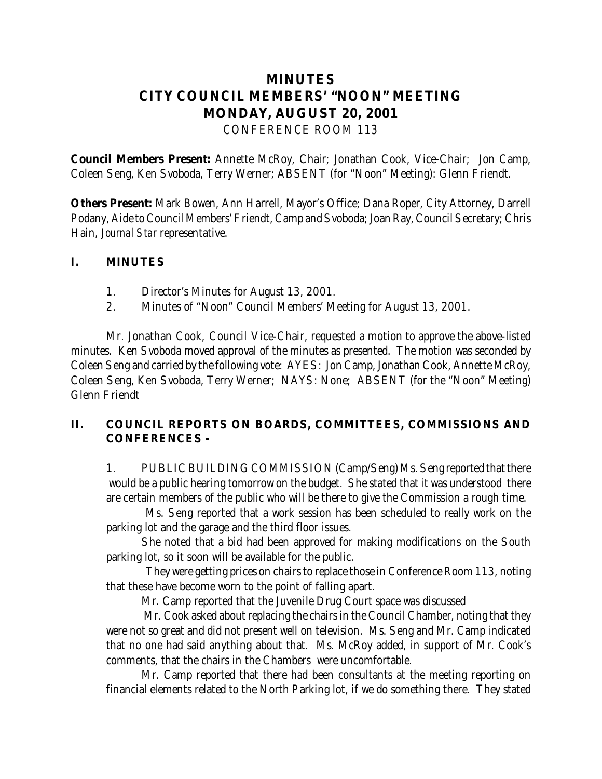# **MINUTES CITY COUNCIL MEMBERS' "NOON" MEETING MONDAY, AUGUST 20, 2001** *CONFERENCE ROOM 113*

**Council Members Present:** Annette McRoy, Chair; Jonathan Cook, Vice-Chair; Jon Camp, Coleen Seng, Ken Svoboda, Terry Werner; ABSENT (for "Noon" Meeting): Glenn Friendt.

**Others Present:** Mark Bowen, Ann Harrell, Mayor's Office; Dana Roper, City Attorney, Darrell Podany, Aide to Council Members' Friendt, Camp and Svoboda; Joan Ray, Council Secretary; Chris Hain, *Journal Star* representative.

### **I. MINUTES**

- 1. Director's Minutes for August 13, 2001.
- 2. Minutes of "Noon" Council Members' Meeting for August 13, 2001.

 Mr. Jonathan Cook, Council Vice-Chair, requested a motion to approve the above-listed minutes. Ken Svoboda moved approval of the minutes as presented. The motion was seconded by Coleen Seng and carried by the following vote: AYES: Jon Camp, Jonathan Cook, Annette McRoy, Coleen Seng, Ken Svoboda, Terry Werner; NAYS: None; ABSENT (for the "Noon" Meeting) Glenn Friendt

## **II. COUNCIL REPORTS ON BOARDS, COMMITTEES, COMMISSIONS AND CONFERENCES -**

1. PUBLIC BUILDING COMMISSION (Camp/Seng) Ms. Seng reported that there would be a public hearing tomorrow on the budget. She stated that it was understood there are certain members of the public who will be there to give the Commission a rough time.

 Ms. Seng reported that a work session has been scheduled to really work on the parking lot and the garage and the third floor issues.

She noted that a bid had been approved for making modifications on the South parking lot, so it soon will be available for the public.

 They were getting prices on chairs to replace those in Conference Room 113, noting that these have become worn to the point of falling apart.

Mr. Camp reported that the Juvenile Drug Court space was discussed

 Mr. Cook asked about replacing the chairs in the Council Chamber, noting that they were not so great and did not present well on television. Ms. Seng and Mr. Camp indicated that no one had said anything about that. Ms. McRoy added, in support of Mr. Cook's comments, that the chairs in the Chambers were uncomfortable.

Mr. Camp reported that there had been consultants at the meeting reporting on financial elements related to the North Parking lot, if we do something there. They stated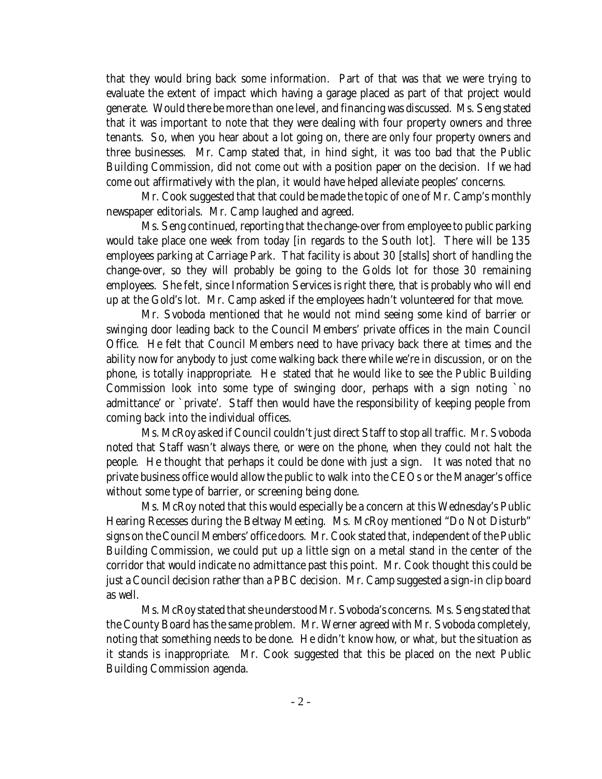that they would bring back some information. Part of that was that we were trying to evaluate the extent of impact which having a garage placed as part of that project would generate. Would there be more than one level, and financing was discussed. Ms. Seng stated that it was important to note that they were dealing with four property owners and three tenants. So, when you hear about a lot going on, there are only four property owners and three businesses. Mr. Camp stated that, in hind sight, it was too bad that the Public Building Commission, did not come out with a position paper on the decision. If we had come out affirmatively with the plan, it would have helped alleviate peoples' concerns.

Mr. Cook suggested that that could be made the topic of one of Mr. Camp's monthly newspaper editorials. Mr. Camp laughed and agreed.

Ms. Seng continued, reporting that the change-over from employee to public parking would take place one week from today [in regards to the South lot]. There will be 135 employees parking at Carriage Park. That facility is about 30 [stalls] short of handling the change-over, so they will probably be going to the Golds lot for those 30 remaining employees. She felt, since Information Services is right there, that is probably who will end up at the Gold's lot. Mr. Camp asked if the employees hadn't volunteered for that move.

Mr. Svoboda mentioned that he would not mind seeing some kind of barrier or swinging door leading back to the Council Members' private offices in the main Council Office. He felt that Council Members need to have privacy back there at times and the ability now for anybody to just come walking back there while we're in discussion, or on the phone, is totally inappropriate. He stated that he would like to see the Public Building Commission look into some type of swinging door, perhaps with a sign noting `no admittance' or `private'. Staff then would have the responsibility of keeping people from coming back into the individual offices.

Ms. McRoy asked if Council couldn't just direct Staff to stop all traffic. Mr. Svoboda noted that Staff wasn't always there, or were on the phone, when they could not halt the people. He thought that perhaps it could be done with just a sign. It was noted that no private business office would allow the public to walk into the CEOs or the Manager's office without some type of barrier, or screening being done.

Ms. McRoy noted that this would especially be a concern at this Wednesday's Public Hearing Recesses during the Beltway Meeting. Ms. McRoy mentioned "Do Not Disturb" signs on the Council Members' office doors. Mr. Cook stated that, independent of the Public Building Commission, we could put up a little sign on a metal stand in the center of the corridor that would indicate no admittance past this point. Mr. Cook thought this could be just a Council decision rather than a PBC decision. Mr. Camp suggested a sign-in clip board as well.

Ms. McRoy stated that she understood Mr. Svoboda's concerns. Ms. Seng stated that the County Board has the same problem. Mr. Werner agreed with Mr. Svoboda completely, noting that something needs to be done. He didn't know how, or what, but the situation as it stands is inappropriate. Mr. Cook suggested that this be placed on the next Public Building Commission agenda.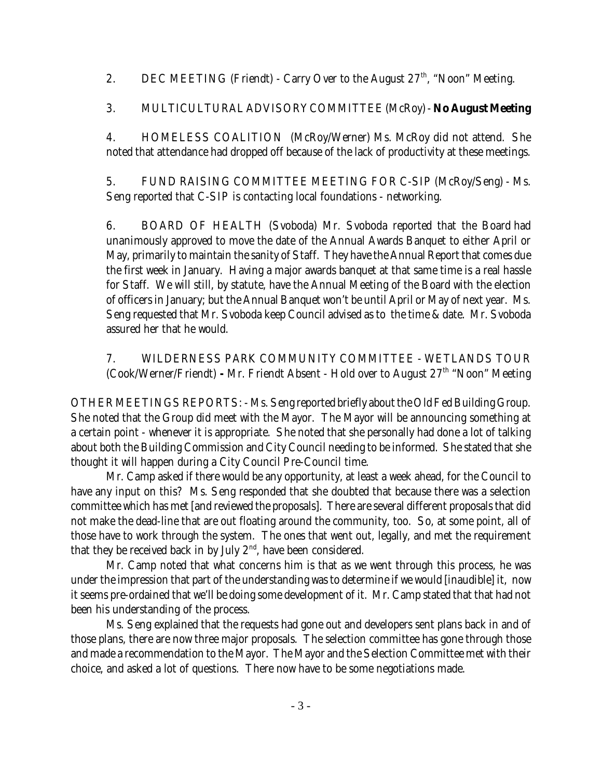2. DEC MEETING (Friendt) - Carry Over to the August  $27<sup>th</sup>$ , "Noon" Meeting.

3. MULTICULTURAL ADVISORY COMMITTEE (McRoy) - **No August Meeting**

4. HOMELESS COALITION (McRoy/Werner) Ms. McRoy did not attend. She noted that attendance had dropped off because of the lack of productivity at these meetings.

5. FUND RAISING COMMITTEE MEETING FOR C-SIP (McRoy/Seng) - Ms. Seng reported that C-SIP is contacting local foundations - networking.

6. BOARD OF HEALTH (Svoboda) Mr. Svoboda reported that the Board had unanimously approved to move the date of the Annual Awards Banquet to either April or May, primarily to maintain the sanity of Staff. They have the Annual Report that comes due the first week in January. Having a major awards banquet at that same time is a real hassle for Staff. We will still, by statute, have the Annual Meeting of the Board with the election of officers in January; but the Annual Banquet won't be until April or May of next year. Ms. Seng requested that Mr. Svoboda keep Council advised as to the time & date. Mr. Svoboda assured her that he would.

7. WILDERNESS PARK COMMUNITY COMMITTEE - WETLANDS TOUR (Cook/Werner/Friendt) **-** Mr. Friendt Absent - Hold over to August 27th "Noon" Meeting

OTHER MEETINGS REPORTS: - Ms. Seng reported briefly about the Old Fed Building Group. She noted that the Group did meet with the Mayor. The Mayor will be announcing something at a certain point - whenever it is appropriate. She noted that she personally had done a lot of talking about both the Building Commission and City Council needing to be informed. She stated that she thought it will happen during a City Council Pre-Council time.

Mr. Camp asked if there would be any opportunity, at least a week ahead, for the Council to have any input on this? Ms. Seng responded that she doubted that because there was a selection committee which has met [and reviewed the proposals]. There are several different proposals that did not make the dead-line that are out floating around the community, too. So, at some point, all of those have to work through the system. The ones that went out, legally, and met the requirement that they be received back in by July  $2<sup>nd</sup>$ , have been considered.

Mr. Camp noted that what concerns him is that as we went through this process, he was under the impression that part of the understanding was to determine if we would [inaudible] it, now it seems pre-ordained that we'll be doing some development of it. Mr. Camp stated that that had not been his understanding of the process.

Ms. Seng explained that the requests had gone out and developers sent plans back in and of those plans, there are now three major proposals. The selection committee has gone through those and made a recommendation to the Mayor. The Mayor and the Selection Committee met with their choice, and asked a lot of questions. There now have to be some negotiations made.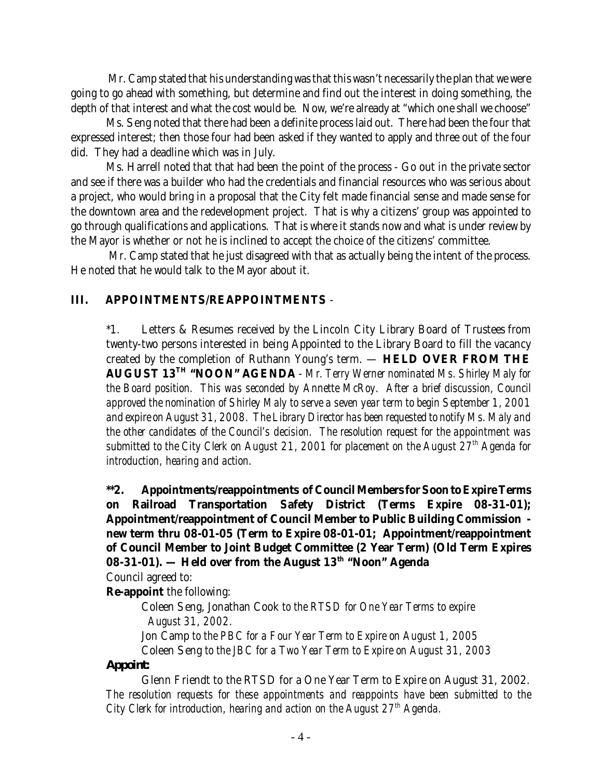Mr. Camp stated that his understanding was that this wasn't necessarily the plan that we were going to go ahead with something, but determine and find out the interest in doing something, the depth of that interest and what the cost would be. Now, we're already at "which one shall we choose"

Ms. Seng noted that there had been a definite process laid out. There had been the four that expressed interest; then those four had been asked if they wanted to apply and three out of the four did. They had a deadline which was in July.

Ms. Harrell noted that that had been the point of the process - Go out in the private sector and see if there was a builder who had the credentials and financial resources who was serious about a project, who would bring in a proposal that the City felt made financial sense and made sense for the downtown area and the redevelopment project. That is why a citizens' group was appointed to go through qualifications and applications. That is where it stands now and what is under review by the Mayor is whether or not he is inclined to accept the choice of the citizens' committee.

 Mr. Camp stated that he just disagreed with that as actually being the intent of the process. He noted that he would talk to the Mayor about it.

### **III. APPOINTMENTS/REAPPOINTMENTS** -

\*1. Letters & Resumes received by the Lincoln City Library Board of Trustees from twenty-two persons interested in being Appointed to the Library Board to fill the vacancy created by the completion of Ruthann Young's term. — **HELD OVER FROM THE AUGUST 13TH "NOON" AGENDA** - *Mr. Terry Werner nominated Ms. Shirley Maly for the Board position. This was seconded by Annette McRoy. After a brief discussion, Council approved the nomination of Shirley Maly to serve a seven year term to begin September 1, 2001 and expire on August 31, 2008. The Library Director has been requested to notify Ms. Maly and the other candidates of the Council's decision. The resolution request for the appointment was submitted to the City Clerk on August 21, 2001 for placement on the August 27th Agenda for introduction, hearing and action.*

## **\*\*2. Appointments/reappointments of Council Members for Soon to Expire Terms on Railroad Transportation Safety District (Terms Expire 08-31-01); Appointment/reappointment of Council Member to Public Building Commission new term thru 08-01-05 (Term to Expire 08-01-01; Appointment/reappointment of Council Member to Joint Budget Committee (2 Year Term) (Old Term Expires** 08-31-01). — Held over from the August 13<sup>th</sup> "Noon" Agenda

Council agreed to:

**Re-appoint** the following:

Coleen Seng, Jonathan Cook *to the RTSD for One Year Terms to expire August 31, 2002.*

Jon Camp *to the PBC for a Four Year Term to Expire on August 1, 2005*

Coleen Seng *to the JBC for a Two Year Term to Expire on August 31, 2003*

### *Appoint:*

Glenn Friendt to the RTSD for a One Year Term to Expire on August 31, 2002. *The resolution requests for these appointments and reappoints have been submitted to the City Clerk for introduction, hearing and action on the August 27th Agenda.*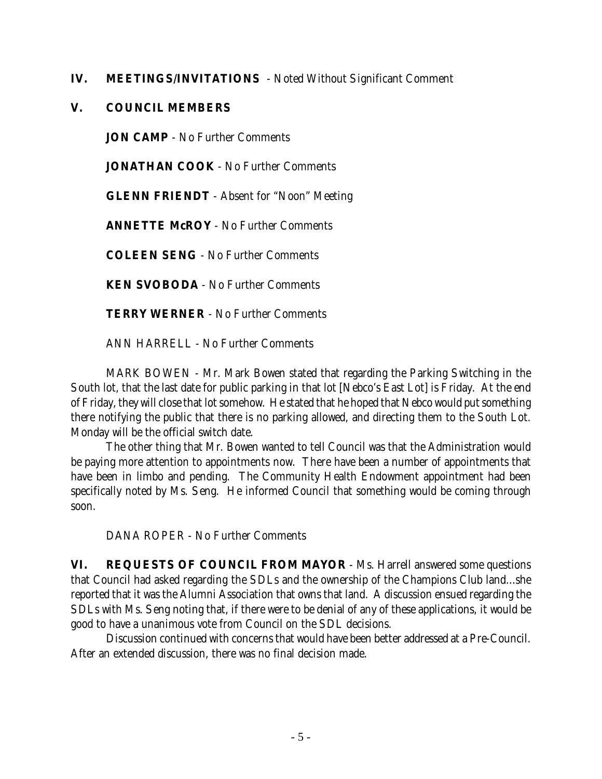### **IV. MEETINGS/INVITATIONS** - Noted Without Significant Comment

### **V. COUNCIL MEMBERS**

**JON CAMP** - No Further Comments

**JONATHAN COOK** - No Further Comments

**GLENN FRIENDT** - Absent for "Noon" Meeting

**ANNETTE McROY** - No Further Comments

**COLEEN SENG** - No Further Comments

**KEN SVOBODA** - No Further Comments

**TERRY WERNER** - No Further Comments

ANN HARRELL - No Further Comments

MARK BOWEN - Mr. Mark Bowen stated that regarding the Parking Switching in the South lot, that the last date for public parking in that lot [Nebco's East Lot] is Friday. At the end of Friday, they will close that lot somehow. He stated that he hoped that Nebco would put something there notifying the public that there is no parking allowed, and directing them to the South Lot. Monday will be the official switch date.

The other thing that Mr. Bowen wanted to tell Council was that the Administration would be paying more attention to appointments now. There have been a number of appointments that have been in limbo and pending. The Community Health Endowment appointment had been specifically noted by Ms. Seng. He informed Council that something would be coming through soon.

DANA ROPER - No Further Comments

**VI. REQUESTS OF COUNCIL FROM MAYOR** - Ms. Harrell answered some questions that Council had asked regarding the SDLs and the ownership of the Champions Club land...she reported that it was the Alumni Association that owns that land. A discussion ensued regarding the SDLs with Ms. Seng noting that, if there were to be denial of any of these applications, it would be good to have a unanimous vote from Council on the SDL decisions.

Discussion continued with concerns that would have been better addressed at a Pre-Council. After an extended discussion, there was no final decision made.